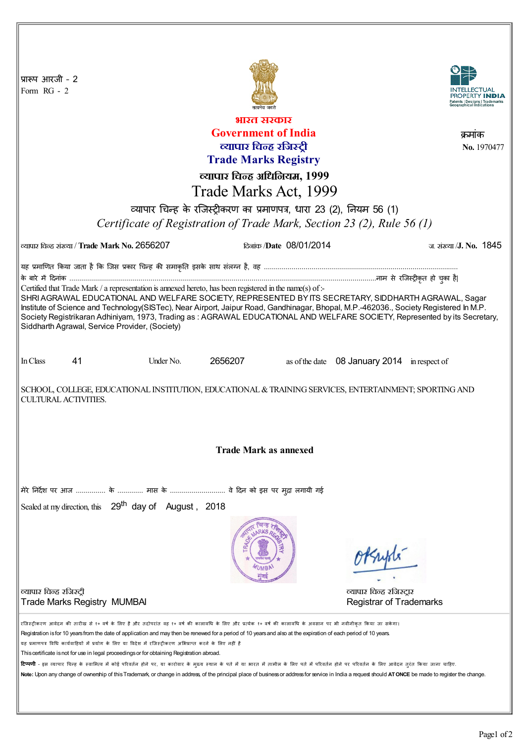| प्रारूप आरजी - 2<br>Form RG - 2                                                                                                                                                                                                                                                                                                                                                                                                                                                                                                                                                                                                                                                                                      |                         |                                              |
|----------------------------------------------------------------------------------------------------------------------------------------------------------------------------------------------------------------------------------------------------------------------------------------------------------------------------------------------------------------------------------------------------------------------------------------------------------------------------------------------------------------------------------------------------------------------------------------------------------------------------------------------------------------------------------------------------------------------|-------------------------|----------------------------------------------|
| भारत सरकार                                                                                                                                                                                                                                                                                                                                                                                                                                                                                                                                                                                                                                                                                                           |                         |                                              |
| <b>Government of India</b>                                                                                                                                                                                                                                                                                                                                                                                                                                                                                                                                                                                                                                                                                           |                         |                                              |
|                                                                                                                                                                                                                                                                                                                                                                                                                                                                                                                                                                                                                                                                                                                      | व्यापार चिन्ह रजिस्ट्री | क्रमाक<br>No. 1970477                        |
| <b>Trade Marks Registry</b>                                                                                                                                                                                                                                                                                                                                                                                                                                                                                                                                                                                                                                                                                          |                         |                                              |
|                                                                                                                                                                                                                                                                                                                                                                                                                                                                                                                                                                                                                                                                                                                      |                         |                                              |
| व्यापार चिन्ह अधिनियम, 1999                                                                                                                                                                                                                                                                                                                                                                                                                                                                                                                                                                                                                                                                                          |                         |                                              |
| Trade Marks Act, 1999                                                                                                                                                                                                                                                                                                                                                                                                                                                                                                                                                                                                                                                                                                |                         |                                              |
| व्यापार चिन्ह के रजिस्ट्रीकरण का प्रमाणपत्र, धारा 23 (2), नियम 56 (1)                                                                                                                                                                                                                                                                                                                                                                                                                                                                                                                                                                                                                                                |                         |                                              |
| Certificate of Registration of Trade Mark, Section 23 (2), Rule 56 (1)                                                                                                                                                                                                                                                                                                                                                                                                                                                                                                                                                                                                                                               |                         |                                              |
| ल्यापार चिन्ह संख्या / Trade Mark No. 2656207                                                                                                                                                                                                                                                                                                                                                                                                                                                                                                                                                                                                                                                                        | दिलांक /Date 08/01/2014 | ज. संख्या / <b>J. No.</b> 1845               |
| यह प्रमाणित किया जाता है कि जिस प्रकार चिन्ह की समाकृति इसके साथ संलग्न है, वह …………………………………………………………………………………                                                                                                                                                                                                                                                                                                                                                                                                                                                                                                                                                                                                       |                         |                                              |
|                                                                                                                                                                                                                                                                                                                                                                                                                                                                                                                                                                                                                                                                                                                      |                         |                                              |
| Certified that Trade Mark / a representation is annexed hereto, has been registered in the name(s) of :-                                                                                                                                                                                                                                                                                                                                                                                                                                                                                                                                                                                                             |                         |                                              |
| SHRI AGRAWAL EDUCATIONAL AND WELFARE SOCIETY, REPRESENTED BY ITS SECRETARY, SIDDHARTH AGRAWAL, Sagar<br>Institute of Science and Technology(SISTec), Near Airport, Jaipur Road, Gandhinagar, Bhopal, M.P.-462036., Society Registered In M.P.                                                                                                                                                                                                                                                                                                                                                                                                                                                                        |                         |                                              |
| Society Registrikaran Adhiniyam, 1973, Trading as: AGRAWAL EDUCATIONAL AND WELFARE SOCIETY, Represented by its Secretary,                                                                                                                                                                                                                                                                                                                                                                                                                                                                                                                                                                                            |                         |                                              |
| Siddharth Agrawal, Service Provider, (Society)                                                                                                                                                                                                                                                                                                                                                                                                                                                                                                                                                                                                                                                                       |                         |                                              |
|                                                                                                                                                                                                                                                                                                                                                                                                                                                                                                                                                                                                                                                                                                                      |                         |                                              |
| 41<br>In Class<br>Under No.                                                                                                                                                                                                                                                                                                                                                                                                                                                                                                                                                                                                                                                                                          | 2656207                 | as of the date 08 January 2014 in respect of |
|                                                                                                                                                                                                                                                                                                                                                                                                                                                                                                                                                                                                                                                                                                                      |                         |                                              |
| SCHOOL, COLLEGE, EDUCATIONAL INSTITUTION, EDUCATIONAL & TRAINING SERVICES, ENTERTAINMENT; SPORTING AND<br><b>CULTURAL ACTIVITIES.</b>                                                                                                                                                                                                                                                                                                                                                                                                                                                                                                                                                                                |                         |                                              |
| <b>Trade Mark as annexed</b>                                                                                                                                                                                                                                                                                                                                                                                                                                                                                                                                                                                                                                                                                         |                         |                                              |
| मेरे निर्देश पर आज  के  मास के  वे दिन को इस पर मुद्रा लगायी गई                                                                                                                                                                                                                                                                                                                                                                                                                                                                                                                                                                                                                                                      |                         |                                              |
| Sealed at my direction, this 29 <sup>th</sup> day of August, 2018                                                                                                                                                                                                                                                                                                                                                                                                                                                                                                                                                                                                                                                    |                         |                                              |
|                                                                                                                                                                                                                                                                                                                                                                                                                                                                                                                                                                                                                                                                                                                      |                         |                                              |
| व्यापार चिन्ह रजिस्ट्री                                                                                                                                                                                                                                                                                                                                                                                                                                                                                                                                                                                                                                                                                              |                         | व्यापार चिन्ह रजिस्ट्रार                     |
| <b>Trade Marks Registry MUMBAI</b>                                                                                                                                                                                                                                                                                                                                                                                                                                                                                                                                                                                                                                                                                   |                         | <b>Registrar of Trademarks</b>               |
| रजिस्ट्रीकरण आवेदन की तारीख से १० वर्ष के लिए है और तदोपरांत वह १० वर्ष की कालावधि के श्रेण के अधिक के पर की अवसान पर भी नवीनीकृत किया जा सकेगा।<br>Registration is for 10 years from the date of application and may then be renewed for a period of 10 years and also at the expiration of each period of 10 years.<br>यह प्रमाणपत्र विधि कार्यवाहियों में प्रयोग के लिए या विदेश में रजिस्ट्रीकरण अभिप्राप्त करने के लिए नहीं है<br>This certificate is not for use in legal proceedings or for obtaining Registration abroad.<br><b>टिप्पणी</b> - इस व्यापार चिन्ह के स्वामित्व में कोई परिवर्तन होने पर, या कारोवार के मुख्य स्थान के भी जाने में परिवर्तन होने पर परिवर्तन के लिए आवेदन तुरंत किया जाना चाहिए. |                         |                                              |
| Note: Upon any change of ownership of this Trademark, or change in address, of the principal place of business or address for service in India a request should ATONCE be made to register the change.                                                                                                                                                                                                                                                                                                                                                                                                                                                                                                               |                         |                                              |
|                                                                                                                                                                                                                                                                                                                                                                                                                                                                                                                                                                                                                                                                                                                      |                         |                                              |